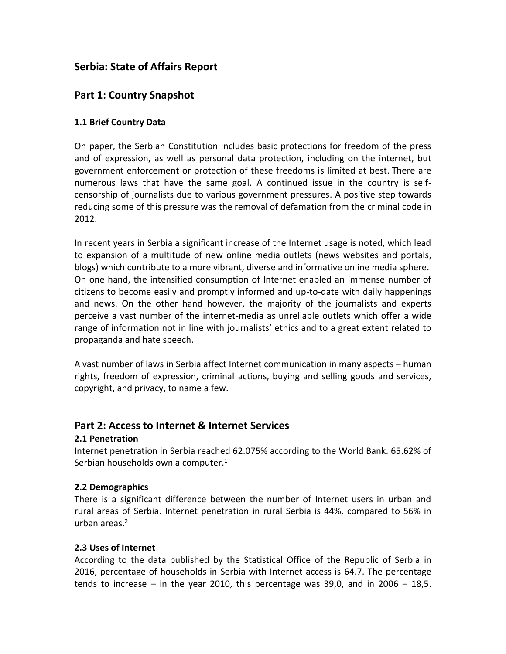# **Serbia: State of Affairs Report**

# **Part 1: Country Snapshot**

# **1.1 Brief Country Data**

On paper, the Serbian Constitution includes basic protections for freedom of the press and of expression, as well as personal data protection, including on the internet, but government enforcement or protection of these freedoms is limited at best. There are numerous laws that have the same goal. A continued issue in the country is selfcensorship of journalists due to various government pressures. A positive step towards reducing some of this pressure was the removal of defamation from the criminal code in 2012.

In recent years in Serbia a significant increase of the Internet usage is noted, which lead to expansion of a multitude of new online media outlets (news websites and portals, blogs) which contribute to a more vibrant, diverse and informative online media sphere. On one hand, the intensified consumption of Internet enabled an immense number of citizens to become easily and promptly informed and up-to-date with daily happenings and news. On the other hand however, the majority of the journalists and experts perceive a vast number of the internet-media as unreliable outlets which offer a wide range of information not in line with journalists' ethics and to a great extent related to propaganda and hate speech.

A vast number of laws in Serbia affect Internet communication in many aspects – human rights, freedom of expression, criminal actions, buying and selling goods and services, copyright, and privacy, to name a few.

# **Part 2: Access to Internet & Internet Services**

# **2.1 Penetration**

Internet penetration in Serbia reached 62.075% according to the World Bank. 65.62% of Serbian households own a computer.<sup>1</sup>

# **2.2 Demographics**

There is a significant difference between the number of Internet users in urban and rural areas of Serbia. Internet penetration in rural Serbia is 44%, compared to 56% in urban areas.<sup>2</sup>

# **2.3 Uses of Internet**

According to the data published by the Statistical Office of the Republic of Serbia in 2016, percentage of households in Serbia with Internet access is 64.7. The percentage tends to increase – in the year 2010, this percentage was  $39,0$ , and in  $2006 - 18,5$ .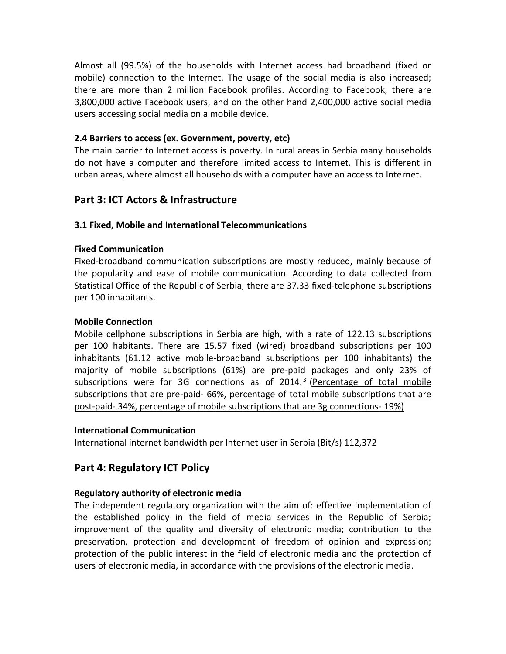Almost all (99.5%) of the households with Internet access had broadband (fixed or mobile) connection to the Internet. The usage of the social media is also increased; there are more than 2 million Facebook profiles. According to Facebook, there are 3,800,000 active Facebook users, and on the other hand 2,400,000 active social media users accessing social media on a mobile device.

### **2.4 Barriers to access (ex. Government, poverty, etc)**

The main barrier to Internet access is poverty. In rural areas in Serbia many households do not have a computer and therefore limited access to Internet. This is different in urban areas, where almost all households with a computer have an access to Internet.

# **Part 3: ICT Actors & Infrastructure**

### **3.1 Fixed, Mobile and International Telecommunications**

#### **Fixed Communication**

Fixed-broadband communication subscriptions are mostly reduced, mainly because of the popularity and ease of mobile communication. According to data collected from Statistical Office of the Republic of Serbia, there are 37.33 fixed-telephone subscriptions per 100 inhabitants.

#### **Mobile Connection**

Mobile cellphone subscriptions in Serbia are high, with a rate of 122.13 subscriptions per 100 habitants. There are 15.57 fixed (wired) broadband subscriptions per 100 inhabitants (61.12 active mobile-broadband subscriptions per 100 inhabitants) the majority of mobile subscriptions (61%) are pre-paid packages and only 23% of subscriptions were for 3G connections as of 2014.<sup>3</sup> (Percentage of total mobile subscriptions that are pre-paid- 66%, percentage of total mobile subscriptions that are post-paid- 34%, percentage of mobile subscriptions that are 3g connections- 19%)

#### **International Communication**

International internet bandwidth per Internet user in Serbia (Bit/s) 112,372

# **Part 4: Regulatory ICT Policy**

#### **Regulatory authority of electronic media**

The independent regulatory organization with the aim of: effective implementation of the established policy in the field of media services in the Republic of Serbia; improvement of the quality and diversity of electronic media; contribution to the preservation, protection and development of freedom of opinion and expression; protection of the public interest in the field of electronic media and the protection of users of electronic media, in accordance with the provisions of the electronic media.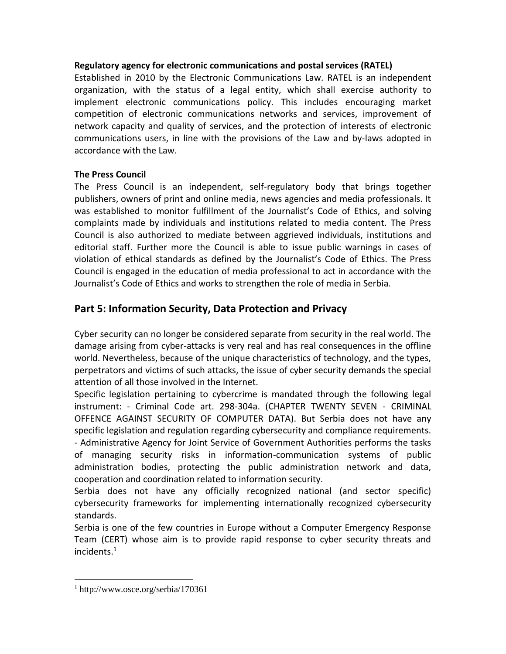### **Regulatory agency for electronic communications and postal services (RATEL)**

Established in 2010 by the Electronic Communications Law. RATEL is an independent organization, with the status of a legal entity, which shall exercise authority to implement electronic communications policy. This includes encouraging market competition of electronic communications networks and services, improvement of network capacity and quality of services, and the protection of interests of electronic communications users, in line with the provisions of the Law and by-laws adopted in accordance with the Law.

# **The Press Council**

The Press Council is an independent, self-regulatory body that brings together publishers, owners of print and online media, news agencies and media professionals. It was established to monitor fulfillment of the Journalist's Code of Ethics, and solving complaints made by individuals and institutions related to media content. The Press Council is also authorized to mediate between aggrieved individuals, institutions and editorial staff. Further more the Council is able to issue public warnings in cases of violation of ethical standards as defined by the Journalist's Code of Ethics. The Press Council is engaged in the education of media professional to act in accordance with the Journalist's Code of Ethics and works to strengthen the role of media in Serbia.

# **Part 5: Information Security, Data Protection and Privacy**

Cyber security can no longer be considered separate from security in the real world. The damage arising from cyber-attacks is very real and has real consequences in the offline world. Nevertheless, because of the unique characteristics of technology, and the types, perpetrators and victims of such attacks, the issue of cyber security demands the special attention of all those involved in the Internet.

Specific legislation pertaining to cybercrime is mandated through the following legal instrument: - Criminal Code art. 298-304a. (CHAPTER TWENTY SEVEN - CRIMINAL OFFENCE AGAINST SECURITY OF COMPUTER DATA). But Serbia does not have any specific legislation and regulation regarding cybersecurity and compliance requirements. - Administrative Agency for Joint Service of Government Authorities performs the tasks of managing security risks in information-communication systems of public administration bodies, protecting the public administration network and data, cooperation and coordination related to information security.

Serbia does not have any officially recognized national (and sector specific) cybersecurity frameworks for implementing internationally recognized cybersecurity standards.

Serbia is one of the few countries in Europe without a Computer Emergency Response Team (CERT) whose aim is to provide rapid response to cyber security threats and incidents.<sup>1</sup>

<sup>1</sup> http://www.osce.org/serbia/170361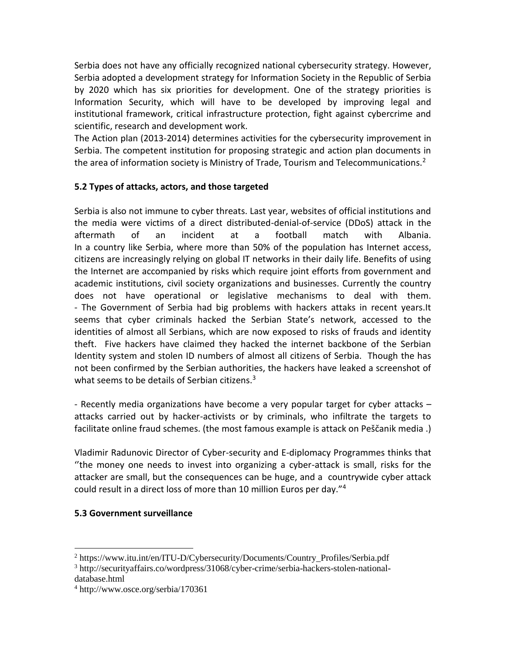Serbia does not have any officially recognized national cybersecurity strategy. However, Serbia adopted a development strategy for Information Society in the Republic of Serbia by 2020 which has six priorities for development. One of the strategy priorities is Information Security, which will have to be developed by improving legal and institutional framework, critical infrastructure protection, fight against cybercrime and scientific, research and development work.

The Action plan (2013-2014) determines activities for the cybersecurity improvement in Serbia. The competent institution for proposing strategic and action plan documents in the area of information society is Ministry of Trade, Tourism and Telecommunications.<sup>2</sup>

# **5.2 Types of attacks, actors, and those targeted**

Serbia is also not immune to cyber threats. Last year, websites of official institutions and the media were victims of a direct distributed-denial-of-service (DDoS) attack in the aftermath of an incident at a football match with Albania. In a country like Serbia, where more than 50% of the population has Internet access, citizens are increasingly relying on global IT networks in their daily life. Benefits of using the Internet are accompanied by risks which require joint efforts from government and academic institutions, civil society organizations and businesses. Currently the country does not have operational or legislative mechanisms to deal with them. - The Government of Serbia had big problems with hackers attaks in recent years.It seems that cyber criminals hacked the Serbian State's network, accessed to the identities of almost all Serbians, which are now exposed to risks of frauds and identity theft. Five hackers have claimed they hacked the internet backbone of the Serbian Identity system and stolen ID numbers of almost all citizens of Serbia. Though the has not been confirmed by the Serbian authorities, the hackers have leaked a screenshot of what seems to be details of Serbian citizens.<sup>3</sup>

- Recently media organizations have become a very popular target for cyber attacks – attacks carried out by hacker-activists or by criminals, who infiltrate the targets to facilitate online fraud schemes. (the most famous example is attack on Peščanik media .)

Vladimir Radunovic Director of Cyber-security and E-diplomacy Programmes thinks that ''the money one needs to invest into organizing a cyber-attack is small, risks for the attacker are small, but the consequences can be huge, and a countrywide cyber attack could result in a direct loss of more than 10 million Euros per day."<sup>4</sup>

# **5.3 Government surveillance**

<sup>&</sup>lt;sup>2</sup> https://www.itu.int/en/ITU-D/Cybersecurity/Documents/Country\_Profiles/Serbia.pdf

<sup>3</sup> http://securityaffairs.co/wordpress/31068/cyber-crime/serbia-hackers-stolen-nationaldatabase.html

<sup>4</sup> http://www.osce.org/serbia/170361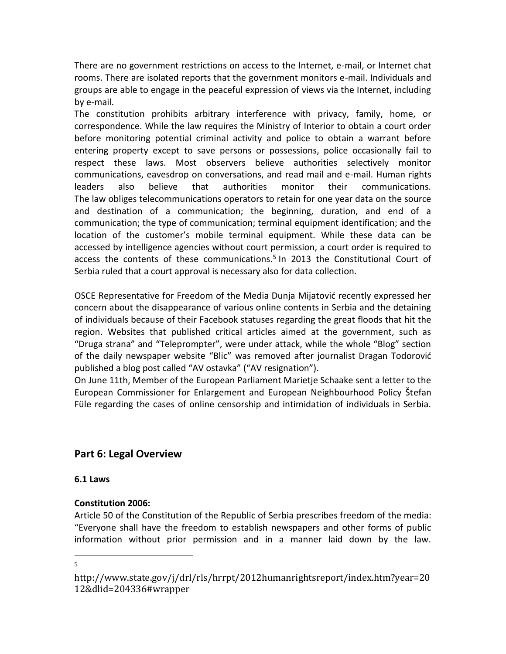There are no government restrictions on access to the Internet, e-mail, or Internet chat rooms. There are isolated reports that the government monitors e-mail. Individuals and groups are able to engage in the peaceful expression of views via the Internet, including by e-mail.

The constitution prohibits arbitrary interference with privacy, family, home, or correspondence. While the law requires the Ministry of Interior to obtain a court order before monitoring potential criminal activity and police to obtain a warrant before entering property except to save persons or possessions, police occasionally fail to respect these laws. Most observers believe authorities selectively monitor communications, eavesdrop on conversations, and read mail and e-mail. Human rights leaders also believe that authorities monitor their communications. The law obliges telecommunications operators to retain for one year data on the source and destination of a communication; the beginning, duration, and end of a communication; the type of communication; terminal equipment identification; and the location of the customer's mobile terminal equipment. While these data can be accessed by intelligence agencies without court permission, a court order is required to access the contents of these communications.<sup>5</sup> In 2013 the Constitutional Court of Serbia ruled that a court approval is necessary also for data collection.

OSCE Representative for Freedom of the Media Dunja Mijatović recently expressed her concern about the disappearance of various online contents in Serbia and the detaining of individuals because of their Facebook statuses regarding the great floods that hit the region. Websites that published critical articles aimed at the government, such as "Druga strana" and "Teleprompter", were under attack, while the whole "Blog" section of the daily newspaper website "Blic" was removed after journalist Dragan Todorović published a blog post called "AV ostavka" ("AV resignation").

On June 11th, Member of the European Parliament Marietje Schaake sent a letter to the European Commissioner for Enlargement and European Neighbourhood Policy Štefan Füle regarding the cases of online censorship and intimidation of individuals in Serbia.

# **Part 6: Legal Overview**

# **6.1 Laws**

# **Constitution 2006:**

Article 50 of the Constitution of the Republic of Serbia prescribes freedom of the media: "Everyone shall have the freedom to establish newspapers and other forms of public information without prior permission and in a manner laid down by the law.

http://www.state.gov/j/drl/rls/hrrpt/2012humanrightsreport/index.htm?year=20 12&dlid=204336#wrapper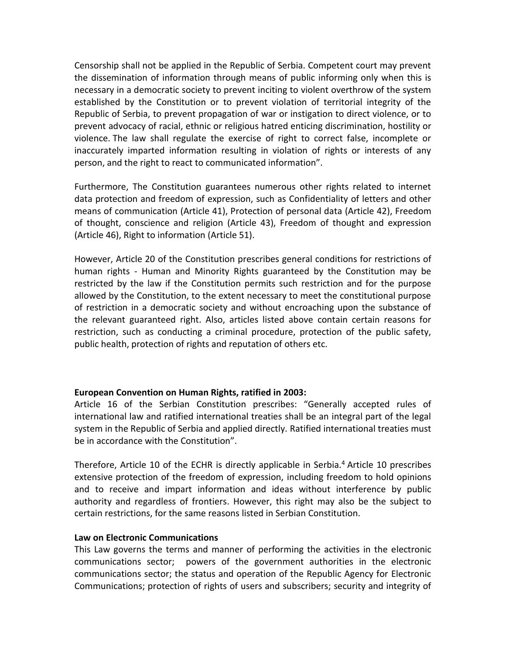Censorship shall not be applied in the Republic of Serbia. Competent court may prevent the dissemination of information through means of public informing only when this is necessary in a democratic society to prevent inciting to violent overthrow of the system established by the Constitution or to prevent violation of territorial integrity of the Republic of Serbia, to prevent propagation of war or instigation to direct violence, or to prevent advocacy of racial, ethnic or religious hatred enticing discrimination, hostility or violence. The law shall regulate the exercise of right to correct false, incomplete or inaccurately imparted information resulting in violation of rights or interests of any person, and the right to react to communicated information".

Furthermore, The Constitution guarantees numerous other rights related to internet data protection and freedom of expression, such as Confidentiality of letters and other means of communication (Article 41), Protection of personal data (Article 42), Freedom of thought, conscience and religion (Article 43), Freedom of thought and expression (Article 46), Right to information (Article 51).

However, Article 20 of the Constitution prescribes general conditions for restrictions of human rights - Human and Minority Rights guaranteed by the Constitution may be restricted by the law if the Constitution permits such restriction and for the purpose allowed by the Constitution, to the extent necessary to meet the constitutional purpose of restriction in a democratic society and without encroaching upon the substance of the relevant guaranteed right. Also, articles listed above contain certain reasons for restriction, such as conducting a criminal procedure, protection of the public safety, public health, protection of rights and reputation of others etc.

#### **European Convention on Human Rights, ratified in 2003:**

Article 16 of the Serbian Constitution prescribes: "Generally accepted rules of international law and ratified international treaties shall be an integral part of the legal system in the Republic of Serbia and applied directly. Ratified international treaties must be in accordance with the Constitution".

Therefore, Article 10 of the ECHR is directly applicable in Serbia.<sup>4</sup> Article 10 prescribes extensive protection of the freedom of expression, including freedom to hold opinions and to receive and impart information and ideas without interference by public authority and regardless of frontiers. However, this right may also be the subject to certain restrictions, for the same reasons listed in Serbian Constitution.

#### **Law on Electronic Communications**

This Law governs the terms and manner of performing the activities in the electronic communications sector; powers of the government authorities in the electronic communications sector; the status and operation of the Republic Agency for Electronic Communications; protection of rights of users and subscribers; security and integrity of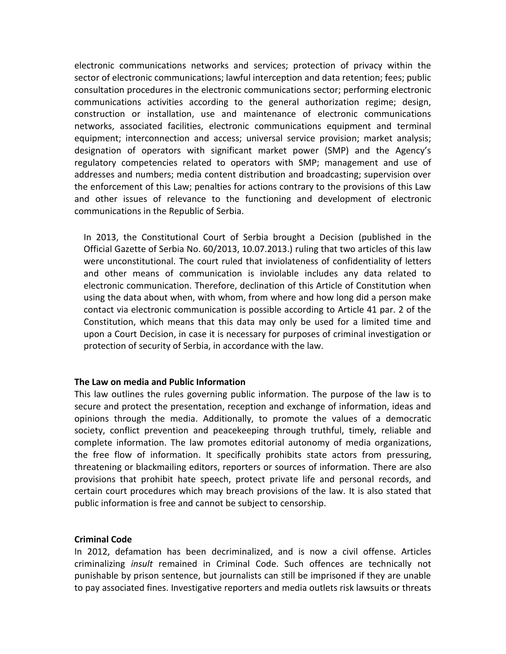electronic communications networks and services; protection of privacy within the sector of electronic communications; lawful interception and data retention; fees; public consultation procedures in the electronic communications sector; performing electronic communications activities according to the general authorization regime; design, construction or installation, use and maintenance of electronic communications networks, associated facilities, electronic communications equipment and terminal equipment; interconnection and access; universal service provision; market analysis; designation of operators with significant market power (SMP) and the Agency's regulatory competencies related to operators with SMP; management and use of addresses and numbers; media content distribution and broadcasting; supervision over the enforcement of this Law; penalties for actions contrary to the provisions of this Law and other issues of relevance to the functioning and development of electronic communications in the Republic of Serbia.

In 2013, the Constitutional Court of Serbia brought a Decision (published in the Official Gazette of Serbia No. 60/2013, 10.07.2013.) ruling that two articles of this law were unconstitutional. The court ruled that inviolateness of confidentiality of letters and other means of communication is inviolable includes any data related to electronic communication. Therefore, declination of this Article of Constitution when using the data about when, with whom, from where and how long did a person make contact via electronic communication is possible according to Article 41 par. 2 of the Constitution, which means that this data may only be used for a limited time and upon a Court Decision, in case it is necessary for purposes of criminal investigation or protection of security of Serbia, in accordance with the law.

#### **The Law on media and Public Information**

This law outlines the rules governing public information. The purpose of the law is to secure and protect the presentation, reception and exchange of information, ideas and opinions through the media. Additionally, to promote the values of a democratic society, conflict prevention and peacekeeping through truthful, timely, reliable and complete information. The law promotes editorial autonomy of media organizations, the free flow of information. It specifically prohibits state actors from pressuring, threatening or blackmailing editors, reporters or sources of information. There are also provisions that prohibit hate speech, protect private life and personal records, and certain court procedures which may breach provisions of the law. It is also stated that public information is free and cannot be subject to censorship.

#### **Criminal Code**

In 2012, defamation has been decriminalized, and is now a civil offense. Articles criminalizing *insult* remained in Criminal Code. Such offences are technically not punishable by prison sentence, but journalists can still be imprisoned if they are unable to pay associated fines. Investigative reporters and media outlets risk lawsuits or threats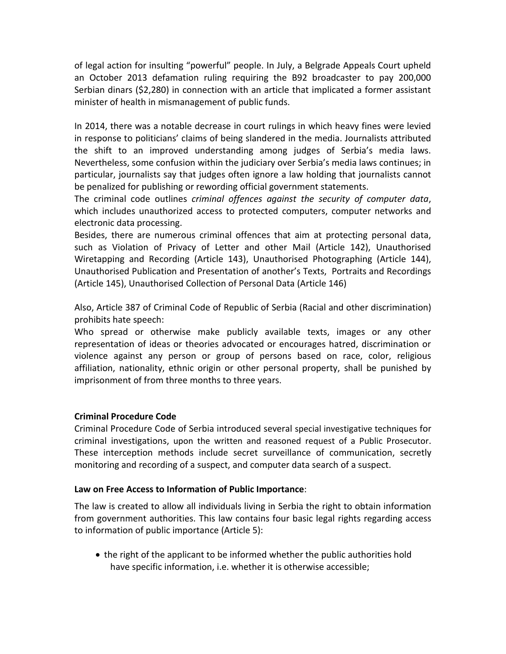of legal action for insulting "powerful" people. In July, a Belgrade Appeals Court upheld an October 2013 defamation ruling requiring the B92 broadcaster to pay 200,000 Serbian dinars (\$2,280) in connection with an article that implicated a former assistant minister of health in mismanagement of public funds.

In 2014, there was a notable decrease in court rulings in which heavy fines were levied in response to politicians' claims of being slandered in the media. Journalists attributed the shift to an improved understanding among judges of Serbia's media laws. Nevertheless, some confusion within the judiciary over Serbia's media laws continues; in particular, journalists say that judges often ignore a law holding that journalists cannot be penalized for publishing or rewording official government statements.

The criminal code outlines *criminal offences against the security of computer data*, which includes unauthorized access to protected computers, computer networks and electronic data processing.

Besides, there are numerous criminal offences that aim at protecting personal data, such as Violation of Privacy of Letter and other Mail (Article 142), Unauthorised Wiretapping and Recording (Article 143), Unauthorised Photographing (Article 144), Unauthorised Publication and Presentation of another's Texts, Portraits and Recordings (Article 145), Unauthorised Collection of Personal Data (Article 146)

Also, Article 387 of Criminal Code of Republic of Serbia (Racial and other discrimination) prohibits hate speech:

Who spread or otherwise make publicly available texts, images or any other representation of ideas or theories advocated or encourages hatred, discrimination or violence against any person or group of persons based on race, color, religious affiliation, nationality, ethnic origin or other personal property, shall be punished by imprisonment of from three months to three years.

# **Criminal Procedure Code**

Criminal Procedure Code of Serbia introduced several special investigative techniques for criminal investigations, upon the written and reasoned request of a Public Prosecutor. These interception methods include secret surveillance of communication, secretly monitoring and recording of a suspect, and computer data search of a suspect.

#### **Law on Free Access to Information of Public Importance**:

The law is created to allow all individuals living in Serbia the right to obtain information from government authorities. This law contains four basic legal rights regarding access to information of public importance (Article 5):

• the right of the applicant to be informed whether the public authorities hold have specific information, i.e. whether it is otherwise accessible;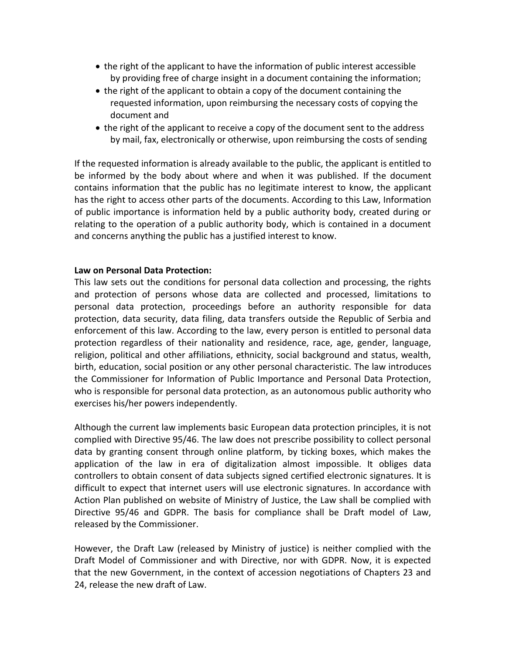- the right of the applicant to have the information of public interest accessible by providing free of charge insight in a document containing the information;
- the right of the applicant to obtain a copy of the document containing the requested information, upon reimbursing the necessary costs of copying the document and
- the right of the applicant to receive a copy of the document sent to the address by mail, fax, electronically or otherwise, upon reimbursing the costs of sending

If the requested information is already available to the public, the applicant is entitled to be informed by the body about where and when it was published. If the document contains information that the public has no legitimate interest to know, the applicant has the right to access other parts of the documents. According to this Law, Information of public importance is information held by a public authority body, created during or relating to the operation of a public authority body, which is contained in a document and concerns anything the public has a justified interest to know.

#### **Law on Personal Data Protection:**

This law sets out the conditions for personal data collection and processing, the rights and protection of persons whose data are collected and processed, limitations to personal data protection, proceedings before an authority responsible for data protection, data security, data filing, data transfers outside the Republic of Serbia and enforcement of this law. According to the law, every person is entitled to personal data protection regardless of their nationality and residence, race, age, gender, language, religion, political and other affiliations, ethnicity, social background and status, wealth, birth, education, social position or any other personal characteristic. The law introduces the Commissioner for Information of Public Importance and Personal Data Protection, who is responsible for personal data protection, as an autonomous public authority who exercises his/her powers independently.

Although the current law implements basic European data protection principles, it is not complied with Directive 95/46. The law does not prescribe possibility to collect personal data by granting consent through online platform, by ticking boxes, which makes the application of the law in era of digitalization almost impossible. It obliges data controllers to obtain consent of data subjects signed certified electronic signatures. It is difficult to expect that internet users will use electronic signatures. In accordance with Action Plan published on website of Ministry of Justice, the Law shall be complied with Directive 95/46 and GDPR. The basis for compliance shall be Draft model of Law, released by the Commissioner.

However, the Draft Law (released by Ministry of justice) is neither complied with the Draft Model of Commissioner and with Directive, nor with GDPR. Now, it is expected that the new Government, in the context of accession negotiations of Chapters 23 and 24, release the new draft of Law.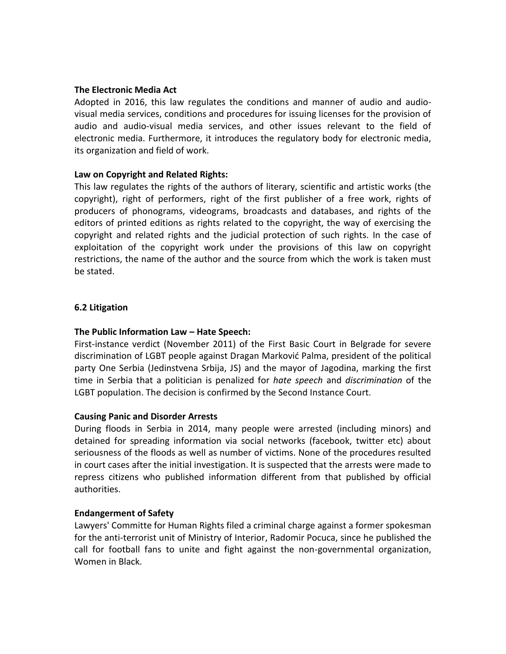#### **The Electronic Media Act**

Adopted in 2016, this law regulates the conditions and manner of audio and audiovisual media services, conditions and procedures for issuing licenses for the provision of audio and audio-visual media services, and other issues relevant to the field of electronic media. Furthermore, it introduces the regulatory body for electronic media, its organization and field of work.

#### **Law on Copyright and Related Rights:**

This law regulates the rights of the authors of literary, scientific and artistic works (the copyright), right of performers, right of the first publisher of a free work, rights of producers of phonograms, videograms, broadcasts and databases, and rights of the editors of printed editions as rights related to the copyright, the way of exercising the copyright and related rights and the judicial protection of such rights. In the case of exploitation of the copyright work under the provisions of this law on copyright restrictions, the name of the author and the source from which the work is taken must be stated.

#### **6.2 Litigation**

#### **The Public Information Law – Hate Speech:**

First-instance verdict (November 2011) of the First Basic Court in Belgrade for severe discrimination of LGBT people against Dragan Marković Palma, president of the political party One Serbia (Jedinstvena Srbija, JS) and the mayor of Jagodina, marking the first time in Serbia that a politician is penalized for *hate speech* and *discrimination* of the LGBT population. The decision is confirmed by the Second Instance Court.

#### **Causing Panic and Disorder Arrests**

During floods in Serbia in 2014, many people were arrested (including minors) and detained for spreading information via social networks (facebook, twitter etc) about seriousness of the floods as well as number of victims. None of the procedures resulted in court cases after the initial investigation. It is suspected that the arrests were made to repress citizens who published information different from that published by official authorities.

#### **Endangerment of Safety**

Lawyers' Committe for Human Rights filed a criminal charge against a former spokesman for the anti-terrorist unit of Ministry of Interior, Radomir Pocuca, since he published the call for football fans to unite and fight against the non-governmental organization, Women in Black.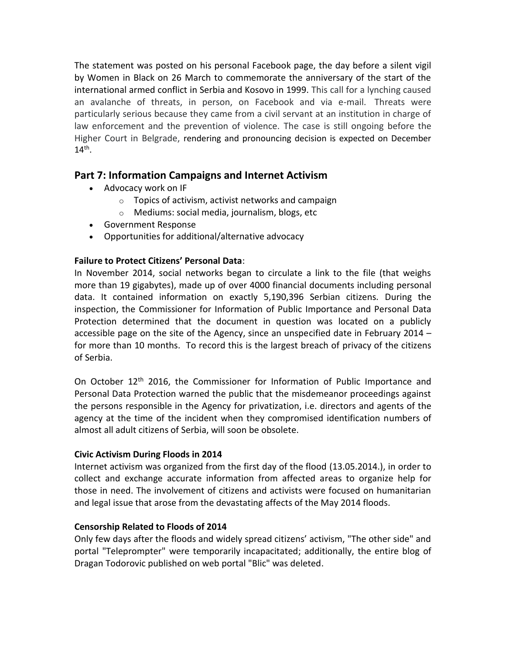The statement was posted on his personal Facebook page, the day before a silent vigil by Women in Black on 26 March to commemorate the anniversary of the start of the international armed conflict in Serbia and Kosovo in 1999. This call for a lynching caused an avalanche of threats, in person, on Facebook and via e-mail. Threats were particularly serious because they came from a civil servant at an institution in charge of law enforcement and the prevention of violence. The case is still ongoing before the Higher Court in Belgrade, rendering and pronouncing decision is expected on December  $14<sup>th</sup>$ .

# **Part 7: Information Campaigns and Internet Activism**

- Advocacy work on IF
	- $\circ$  Topics of activism, activist networks and campaign
	- o Mediums: social media, journalism, blogs, etc
- Government Response
- Opportunities for additional/alternative advocacy

# **Failure to Protect Citizens' Personal Data**:

In November 2014, social networks began to circulate a link to the file (that weighs more than 19 gigabytes), made up of over 4000 financial documents including personal data. It contained information on exactly 5,190,396 Serbian citizens. During the inspection, the Commissioner for Information of Public Importance and Personal Data Protection determined that the document in question was located on a publicly accessible page on the site of the Agency, since an unspecified date in February 2014 – for more than 10 months. To record this is the largest breach of privacy of the citizens of Serbia.

On October 12<sup>th</sup> 2016, the Commissioner for Information of Public Importance and Personal Data Protection warned the public that the misdemeanor proceedings against the persons responsible in the Agency for privatization, i.e. directors and agents of the agency at the time of the incident when they compromised identification numbers of almost all adult citizens of Serbia, will soon be obsolete.

# **Civic Activism During Floods in 2014**

Internet activism was organized from the first day of the flood (13.05.2014.), in order to collect and exchange accurate information from affected areas to organize help for those in need. The involvement of citizens and activists were focused on humanitarian and legal issue that arose from the devastating affects of the May 2014 floods.

# **Censorship Related to Floods of 2014**

Only few days after the floods and widely spread citizens' activism, "The other side" and portal "Teleprompter" were temporarily incapacitated; additionally, the entire blog of Dragan Todorovic published on web portal "Blic" was deleted.